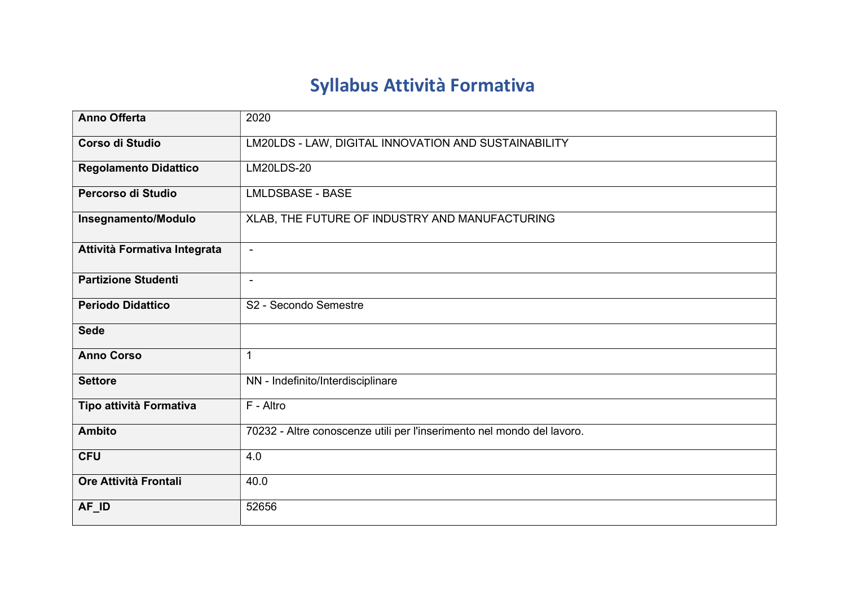## Syllabus Attività Formativa

| <b>Anno Offerta</b>          | 2020                                                                   |
|------------------------------|------------------------------------------------------------------------|
| Corso di Studio              | LM20LDS - LAW, DIGITAL INNOVATION AND SUSTAINABILITY                   |
| <b>Regolamento Didattico</b> | <b>LM20LDS-20</b>                                                      |
| Percorso di Studio           | <b>LMLDSBASE - BASE</b>                                                |
| Insegnamento/Modulo          | XLAB, THE FUTURE OF INDUSTRY AND MANUFACTURING                         |
| Attività Formativa Integrata | $\blacksquare$                                                         |
| <b>Partizione Studenti</b>   | $\blacksquare$                                                         |
| <b>Periodo Didattico</b>     | S2 - Secondo Semestre                                                  |
| <b>Sede</b>                  |                                                                        |
| <b>Anno Corso</b>            | 1                                                                      |
| <b>Settore</b>               | NN - Indefinito/Interdisciplinare                                      |
| Tipo attività Formativa      | F - Altro                                                              |
| <b>Ambito</b>                | 70232 - Altre conoscenze utili per l'inserimento nel mondo del lavoro. |
| <b>CFU</b>                   | 4.0                                                                    |
| Ore Attività Frontali        | 40.0                                                                   |
| AF_ID                        | 52656                                                                  |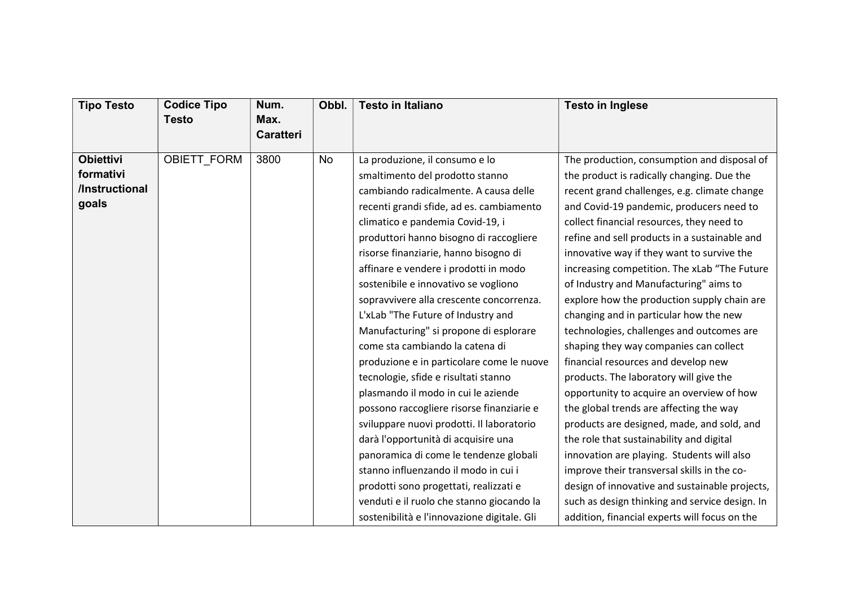| <b>Tipo Testo</b>                                        | <b>Codice Tipo</b><br><b>Testo</b> | Num.<br>Max.     | Obbl.     | <b>Testo in Italiano</b>                                                                                                                                                                                                                                                                                                                                                                                                                                                                                                                                                                             | <b>Testo in Inglese</b>                                                                                                                                                                                                                                                                                                                                                                                                                                                                                                                                                                                                                            |
|----------------------------------------------------------|------------------------------------|------------------|-----------|------------------------------------------------------------------------------------------------------------------------------------------------------------------------------------------------------------------------------------------------------------------------------------------------------------------------------------------------------------------------------------------------------------------------------------------------------------------------------------------------------------------------------------------------------------------------------------------------------|----------------------------------------------------------------------------------------------------------------------------------------------------------------------------------------------------------------------------------------------------------------------------------------------------------------------------------------------------------------------------------------------------------------------------------------------------------------------------------------------------------------------------------------------------------------------------------------------------------------------------------------------------|
|                                                          |                                    | <b>Caratteri</b> |           |                                                                                                                                                                                                                                                                                                                                                                                                                                                                                                                                                                                                      |                                                                                                                                                                                                                                                                                                                                                                                                                                                                                                                                                                                                                                                    |
| <b>Obiettivi</b><br>formativi<br>/Instructional<br>goals | <b>OBIETT FORM</b>                 | 3800             | <b>No</b> | La produzione, il consumo e lo<br>smaltimento del prodotto stanno<br>cambiando radicalmente. A causa delle<br>recenti grandi sfide, ad es. cambiamento<br>climatico e pandemia Covid-19, i<br>produttori hanno bisogno di raccogliere<br>risorse finanziarie, hanno bisogno di<br>affinare e vendere i prodotti in modo<br>sostenibile e innovativo se vogliono<br>sopravvivere alla crescente concorrenza.                                                                                                                                                                                          | The production, consumption and disposal of<br>the product is radically changing. Due the<br>recent grand challenges, e.g. climate change<br>and Covid-19 pandemic, producers need to<br>collect financial resources, they need to<br>refine and sell products in a sustainable and<br>innovative way if they want to survive the<br>increasing competition. The xLab "The Future<br>of Industry and Manufacturing" aims to<br>explore how the production supply chain are                                                                                                                                                                         |
|                                                          |                                    |                  |           | L'xLab "The Future of Industry and<br>Manufacturing" si propone di esplorare<br>come sta cambiando la catena di<br>produzione e in particolare come le nuove<br>tecnologie, sfide e risultati stanno<br>plasmando il modo in cui le aziende<br>possono raccogliere risorse finanziarie e<br>sviluppare nuovi prodotti. Il laboratorio<br>darà l'opportunità di acquisire una<br>panoramica di come le tendenze globali<br>stanno influenzando il modo in cui i<br>prodotti sono progettati, realizzati e<br>venduti e il ruolo che stanno giocando la<br>sostenibilità e l'innovazione digitale. Gli | changing and in particular how the new<br>technologies, challenges and outcomes are<br>shaping they way companies can collect<br>financial resources and develop new<br>products. The laboratory will give the<br>opportunity to acquire an overview of how<br>the global trends are affecting the way<br>products are designed, made, and sold, and<br>the role that sustainability and digital<br>innovation are playing. Students will also<br>improve their transversal skills in the co-<br>design of innovative and sustainable projects,<br>such as design thinking and service design. In<br>addition, financial experts will focus on the |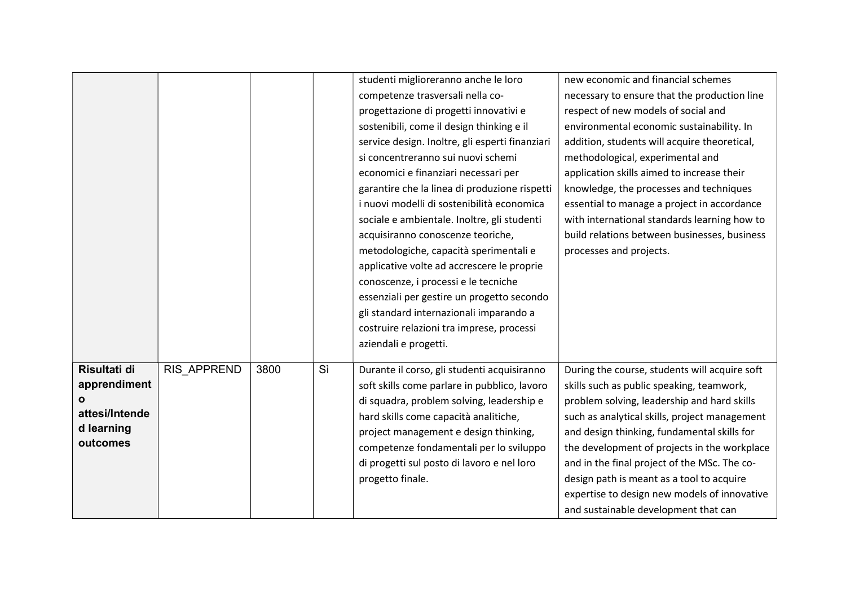|                |             |      |    | studenti miglioreranno anche le loro            | new economic and financial schemes            |
|----------------|-------------|------|----|-------------------------------------------------|-----------------------------------------------|
|                |             |      |    | competenze trasversali nella co-                | necessary to ensure that the production line  |
|                |             |      |    | progettazione di progetti innovativi e          | respect of new models of social and           |
|                |             |      |    | sostenibili, come il design thinking e il       | environmental economic sustainability. In     |
|                |             |      |    | service design. Inoltre, gli esperti finanziari | addition, students will acquire theoretical,  |
|                |             |      |    | si concentreranno sui nuovi schemi              | methodological, experimental and              |
|                |             |      |    | economici e finanziari necessari per            | application skills aimed to increase their    |
|                |             |      |    | garantire che la linea di produzione rispetti   | knowledge, the processes and techniques       |
|                |             |      |    | i nuovi modelli di sostenibilità economica      | essential to manage a project in accordance   |
|                |             |      |    | sociale e ambientale. Inoltre, gli studenti     | with international standards learning how to  |
|                |             |      |    | acquisiranno conoscenze teoriche,               | build relations between businesses, business  |
|                |             |      |    | metodologiche, capacità sperimentali e          | processes and projects.                       |
|                |             |      |    | applicative volte ad accrescere le proprie      |                                               |
|                |             |      |    | conoscenze, i processi e le tecniche            |                                               |
|                |             |      |    | essenziali per gestire un progetto secondo      |                                               |
|                |             |      |    | gli standard internazionali imparando a         |                                               |
|                |             |      |    | costruire relazioni tra imprese, processi       |                                               |
|                |             |      |    | aziendali e progetti.                           |                                               |
| Risultati di   | RIS APPREND | 3800 | Sì | Durante il corso, gli studenti acquisiranno     | During the course, students will acquire soft |
| apprendiment   |             |      |    | soft skills come parlare in pubblico, lavoro    | skills such as public speaking, teamwork,     |
|                |             |      |    | di squadra, problem solving, leadership e       | problem solving, leadership and hard skills   |
| attesi/Intende |             |      |    | hard skills come capacità analitiche,           | such as analytical skills, project management |
| d learning     |             |      |    | project management e design thinking,           | and design thinking, fundamental skills for   |
| outcomes       |             |      |    | competenze fondamentali per lo sviluppo         | the development of projects in the workplace  |
|                |             |      |    | di progetti sul posto di lavoro e nel loro      | and in the final project of the MSc. The co-  |
|                |             |      |    | progetto finale.                                | design path is meant as a tool to acquire     |
|                |             |      |    |                                                 | expertise to design new models of innovative  |
|                |             |      |    |                                                 | and sustainable development that can          |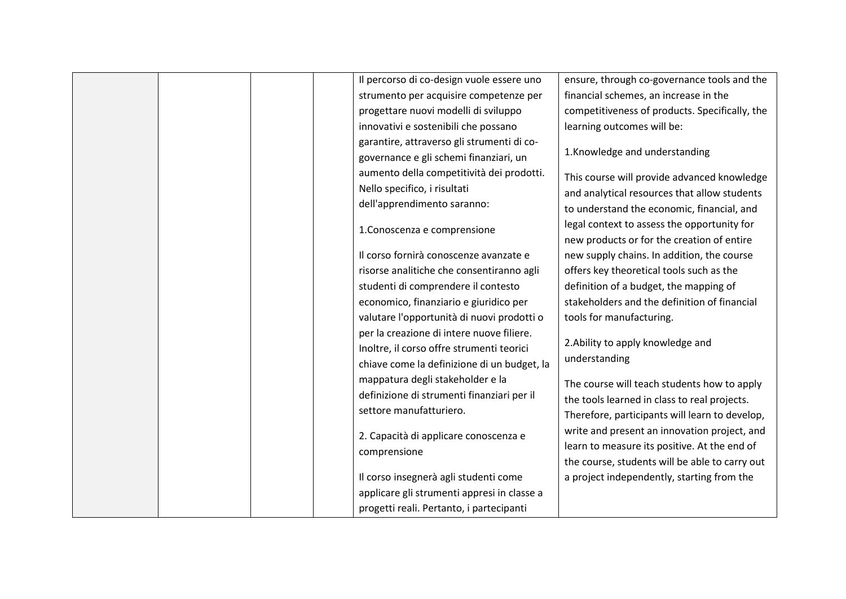|  | Il percorso di co-design vuole essere uno                             | ensure, through co-governance tools and the    |
|--|-----------------------------------------------------------------------|------------------------------------------------|
|  | strumento per acquisire competenze per                                | financial schemes, an increase in the          |
|  | progettare nuovi modelli di sviluppo                                  | competitiveness of products. Specifically, the |
|  | innovativi e sostenibili che possano                                  | learning outcomes will be:                     |
|  | garantire, attraverso gli strumenti di co-                            |                                                |
|  | governance e gli schemi finanziari, un                                | 1.Knowledge and understanding                  |
|  | aumento della competitività dei prodotti.                             | This course will provide advanced knowledge    |
|  | Nello specifico, i risultati                                          | and analytical resources that allow students   |
|  | dell'apprendimento saranno:                                           | to understand the economic, financial, and     |
|  |                                                                       | legal context to assess the opportunity for    |
|  | 1. Conoscenza e comprensione                                          | new products or for the creation of entire     |
|  | Il corso fornirà conoscenze avanzate e                                | new supply chains. In addition, the course     |
|  | risorse analitiche che consentiranno agli                             | offers key theoretical tools such as the       |
|  | studenti di comprendere il contesto                                   | definition of a budget, the mapping of         |
|  | economico, finanziario e giuridico per                                | stakeholders and the definition of financial   |
|  | valutare l'opportunità di nuovi prodotti o                            | tools for manufacturing.                       |
|  | per la creazione di intere nuove filiere.                             |                                                |
|  | Inoltre, il corso offre strumenti teorici                             | 2. Ability to apply knowledge and              |
|  | chiave come la definizione di un budget, la                           | understanding                                  |
|  |                                                                       |                                                |
|  | mappatura degli stakeholder e la                                      | The course will teach students how to apply    |
|  | definizione di strumenti finanziari per il<br>settore manufatturiero. | the tools learned in class to real projects.   |
|  |                                                                       | Therefore, participants will learn to develop, |
|  | 2. Capacità di applicare conoscenza e                                 | write and present an innovation project, and   |
|  | comprensione                                                          | learn to measure its positive. At the end of   |
|  |                                                                       | the course, students will be able to carry out |
|  | Il corso insegnerà agli studenti come                                 | a project independently, starting from the     |
|  | applicare gli strumenti appresi in classe a                           |                                                |
|  | progetti reali. Pertanto, i partecipanti                              |                                                |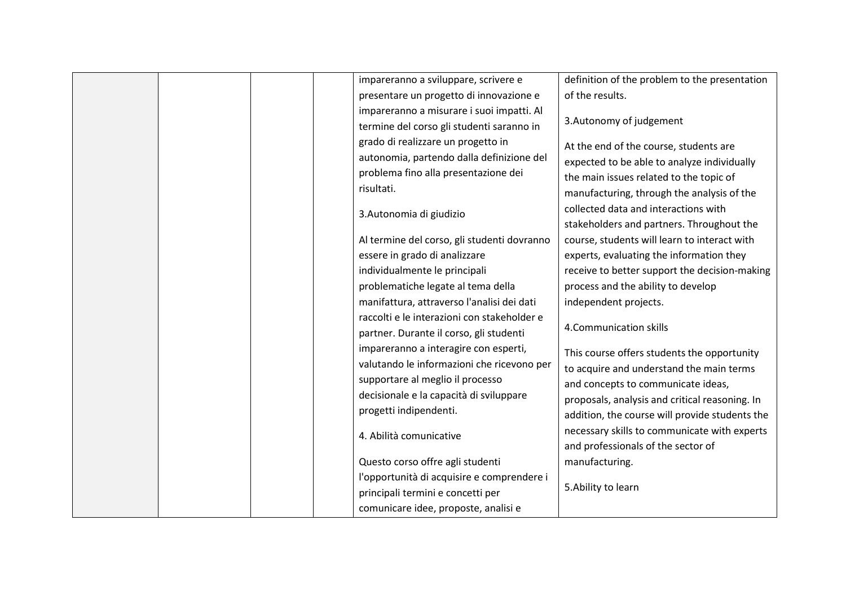|  | impareranno a sviluppare, scrivere e        | definition of the problem to the presentation  |
|--|---------------------------------------------|------------------------------------------------|
|  | presentare un progetto di innovazione e     | of the results.                                |
|  | impareranno a misurare i suoi impatti. Al   |                                                |
|  | termine del corso gli studenti saranno in   | 3. Autonomy of judgement                       |
|  | grado di realizzare un progetto in          | At the end of the course, students are         |
|  | autonomia, partendo dalla definizione del   | expected to be able to analyze individually    |
|  | problema fino alla presentazione dei        | the main issues related to the topic of        |
|  | risultati.                                  | manufacturing, through the analysis of the     |
|  |                                             | collected data and interactions with           |
|  | 3. Autonomia di giudizio                    |                                                |
|  |                                             | stakeholders and partners. Throughout the      |
|  | Al termine del corso, gli studenti dovranno | course, students will learn to interact with   |
|  | essere in grado di analizzare               | experts, evaluating the information they       |
|  | individualmente le principali               | receive to better support the decision-making  |
|  | problematiche legate al tema della          | process and the ability to develop             |
|  | manifattura, attraverso l'analisi dei dati  | independent projects.                          |
|  | raccolti e le interazioni con stakeholder e |                                                |
|  | partner. Durante il corso, gli studenti     | 4. Communication skills                        |
|  | impareranno a interagire con esperti,       | This course offers students the opportunity    |
|  | valutando le informazioni che ricevono per  | to acquire and understand the main terms       |
|  | supportare al meglio il processo            | and concepts to communicate ideas,             |
|  | decisionale e la capacità di sviluppare     | proposals, analysis and critical reasoning. In |
|  | progetti indipendenti.                      | addition, the course will provide students the |
|  |                                             | necessary skills to communicate with experts   |
|  | 4. Abilità comunicative                     | and professionals of the sector of             |
|  | Questo corso offre agli studenti            | manufacturing.                                 |
|  |                                             |                                                |
|  | l'opportunità di acquisire e comprendere i  | 5. Ability to learn                            |
|  | principali termini e concetti per           |                                                |
|  | comunicare idee, proposte, analisi e        |                                                |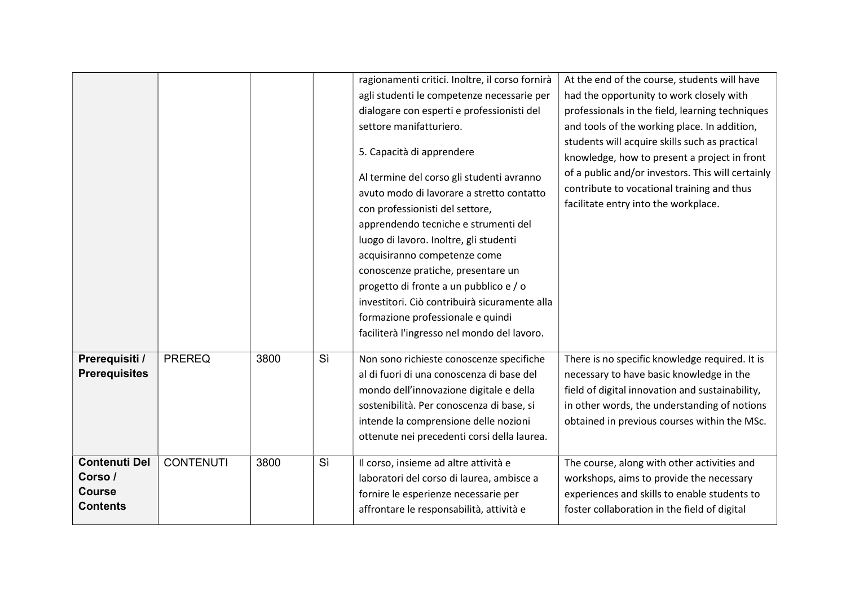|                                 |                  |      |    | ragionamenti critici. Inoltre, il corso fornirà | At the end of the course, students will have      |
|---------------------------------|------------------|------|----|-------------------------------------------------|---------------------------------------------------|
|                                 |                  |      |    | agli studenti le competenze necessarie per      | had the opportunity to work closely with          |
|                                 |                  |      |    | dialogare con esperti e professionisti del      | professionals in the field, learning techniques   |
|                                 |                  |      |    | settore manifatturiero.                         | and tools of the working place. In addition,      |
|                                 |                  |      |    |                                                 | students will acquire skills such as practical    |
|                                 |                  |      |    | 5. Capacità di apprendere                       | knowledge, how to present a project in front      |
|                                 |                  |      |    | Al termine del corso gli studenti avranno       | of a public and/or investors. This will certainly |
|                                 |                  |      |    | avuto modo di lavorare a stretto contatto       | contribute to vocational training and thus        |
|                                 |                  |      |    | con professionisti del settore,                 | facilitate entry into the workplace.              |
|                                 |                  |      |    | apprendendo tecniche e strumenti del            |                                                   |
|                                 |                  |      |    | luogo di lavoro. Inoltre, gli studenti          |                                                   |
|                                 |                  |      |    | acquisiranno competenze come                    |                                                   |
|                                 |                  |      |    | conoscenze pratiche, presentare un              |                                                   |
|                                 |                  |      |    | progetto di fronte a un pubblico e / o          |                                                   |
|                                 |                  |      |    | investitori. Ciò contribuirà sicuramente alla   |                                                   |
|                                 |                  |      |    | formazione professionale e quindi               |                                                   |
|                                 |                  |      |    | faciliterà l'ingresso nel mondo del lavoro.     |                                                   |
| Prerequisiti /                  | <b>PREREQ</b>    | 3800 | Sì | Non sono richieste conoscenze specifiche        | There is no specific knowledge required. It is    |
| <b>Prerequisites</b>            |                  |      |    | al di fuori di una conoscenza di base del       | necessary to have basic knowledge in the          |
|                                 |                  |      |    | mondo dell'innovazione digitale e della         | field of digital innovation and sustainability,   |
|                                 |                  |      |    | sostenibilità. Per conoscenza di base, si       | in other words, the understanding of notions      |
|                                 |                  |      |    | intende la comprensione delle nozioni           | obtained in previous courses within the MSc.      |
|                                 |                  |      |    | ottenute nei precedenti corsi della laurea.     |                                                   |
|                                 |                  |      |    |                                                 |                                                   |
| <b>Contenuti Del</b><br>Corso / | <b>CONTENUTI</b> | 3800 | Sì | Il corso, insieme ad altre attività e           | The course, along with other activities and       |
| <b>Course</b>                   |                  |      |    | laboratori del corso di laurea, ambisce a       | workshops, aims to provide the necessary          |
| <b>Contents</b>                 |                  |      |    | fornire le esperienze necessarie per            | experiences and skills to enable students to      |
|                                 |                  |      |    | affrontare le responsabilità, attività e        | foster collaboration in the field of digital      |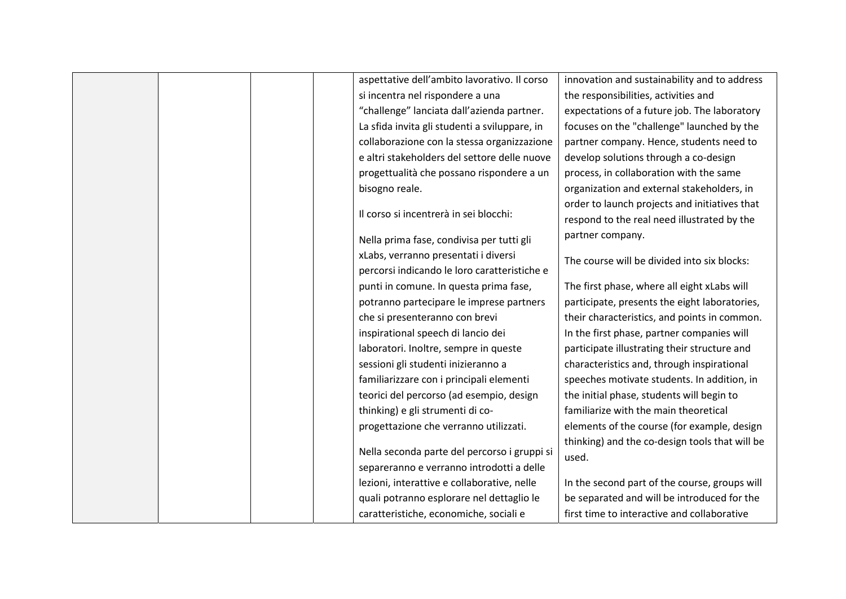|  | aspettative dell'ambito lavorativo. Il corso  | innovation and sustainability and to address   |
|--|-----------------------------------------------|------------------------------------------------|
|  | si incentra nel rispondere a una              | the responsibilities, activities and           |
|  | "challenge" lanciata dall'azienda partner.    | expectations of a future job. The laboratory   |
|  | La sfida invita gli studenti a sviluppare, in | focuses on the "challenge" launched by the     |
|  | collaborazione con la stessa organizzazione   | partner company. Hence, students need to       |
|  | e altri stakeholders del settore delle nuove  | develop solutions through a co-design          |
|  | progettualità che possano rispondere a un     | process, in collaboration with the same        |
|  | bisogno reale.                                | organization and external stakeholders, in     |
|  |                                               | order to launch projects and initiatives that  |
|  | Il corso si incentrerà in sei blocchi:        | respond to the real need illustrated by the    |
|  | Nella prima fase, condivisa per tutti gli     | partner company.                               |
|  | xLabs, verranno presentati i diversi          | The course will be divided into six blocks:    |
|  | percorsi indicando le loro caratteristiche e  |                                                |
|  | punti in comune. In questa prima fase,        | The first phase, where all eight xLabs will    |
|  | potranno partecipare le imprese partners      | participate, presents the eight laboratories,  |
|  | che si presenteranno con brevi                | their characteristics, and points in common.   |
|  | inspirational speech di lancio dei            | In the first phase, partner companies will     |
|  | laboratori. Inoltre, sempre in queste         | participate illustrating their structure and   |
|  | sessioni gli studenti inizieranno a           | characteristics and, through inspirational     |
|  | familiarizzare con i principali elementi      | speeches motivate students. In addition, in    |
|  | teorici del percorso (ad esempio, design      | the initial phase, students will begin to      |
|  | thinking) e gli strumenti di co-              | familiarize with the main theoretical          |
|  | progettazione che verranno utilizzati.        | elements of the course (for example, design    |
|  | Nella seconda parte del percorso i gruppi si  | thinking) and the co-design tools that will be |
|  | separeranno e verranno introdotti a delle     | used.                                          |
|  | lezioni, interattive e collaborative, nelle   | In the second part of the course, groups will  |
|  | quali potranno esplorare nel dettaglio le     | be separated and will be introduced for the    |
|  | caratteristiche, economiche, sociali e        | first time to interactive and collaborative    |
|  |                                               |                                                |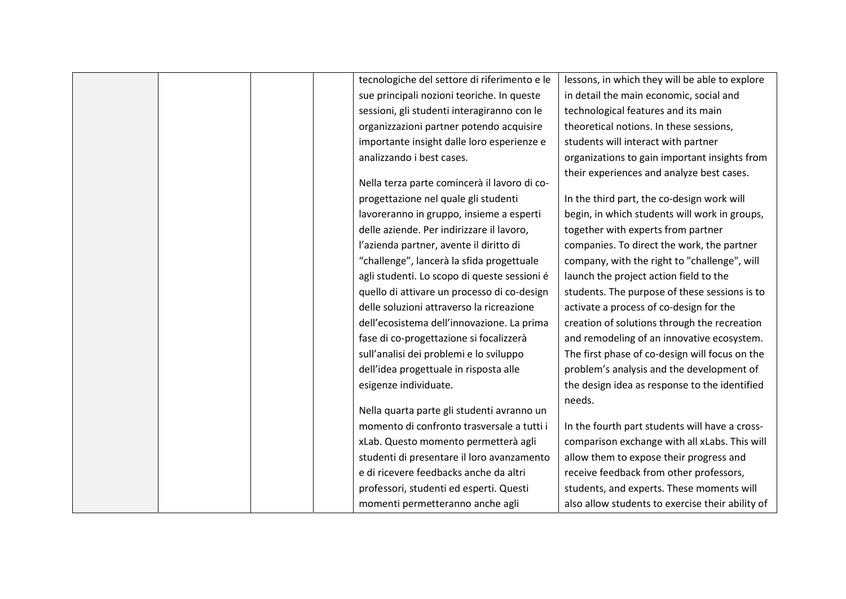|  | tecnologiche del settore di riferimento e le | lessons, in which they will be able to explore   |
|--|----------------------------------------------|--------------------------------------------------|
|  | sue principali nozioni teoriche. In queste   | in detail the main economic, social and          |
|  | sessioni, gli studenti interagiranno con le  | technological features and its main              |
|  | organizzazioni partner potendo acquisire     | theoretical notions. In these sessions,          |
|  | importante insight dalle loro esperienze e   | students will interact with partner              |
|  | analizzando i best cases.                    | organizations to gain important insights from    |
|  |                                              | their experiences and analyze best cases.        |
|  | Nella terza parte comincerà il lavoro di co- |                                                  |
|  | progettazione nel quale gli studenti         | In the third part, the co-design work will       |
|  | lavoreranno in gruppo, insieme a esperti     | begin, in which students will work in groups,    |
|  | delle aziende. Per indirizzare il lavoro,    | together with experts from partner               |
|  | l'azienda partner, avente il diritto di      | companies. To direct the work, the partner       |
|  | "challenge", lancerà la sfida progettuale    | company, with the right to "challenge", will     |
|  | agli studenti. Lo scopo di queste sessioni é | launch the project action field to the           |
|  | quello di attivare un processo di co-design  | students. The purpose of these sessions is to    |
|  | delle soluzioni attraverso la ricreazione    | activate a process of co-design for the          |
|  | dell'ecosistema dell'innovazione. La prima   | creation of solutions through the recreation     |
|  | fase di co-progettazione si focalizzerà      | and remodeling of an innovative ecosystem.       |
|  | sull'analisi dei problemi e lo sviluppo      | The first phase of co-design will focus on the   |
|  | dell'idea progettuale in risposta alle       | problem's analysis and the development of        |
|  | esigenze individuate.                        | the design idea as response to the identified    |
|  |                                              | needs.                                           |
|  | Nella quarta parte gli studenti avranno un   |                                                  |
|  | momento di confronto trasversale a tutti i   | In the fourth part students will have a cross-   |
|  | xLab. Questo momento permetterà agli         | comparison exchange with all xLabs. This will    |
|  | studenti di presentare il loro avanzamento   | allow them to expose their progress and          |
|  | e di ricevere feedbacks anche da altri       | receive feedback from other professors,          |
|  | professori, studenti ed esperti. Questi      | students, and experts. These moments will        |
|  | momenti permetteranno anche agli             | also allow students to exercise their ability of |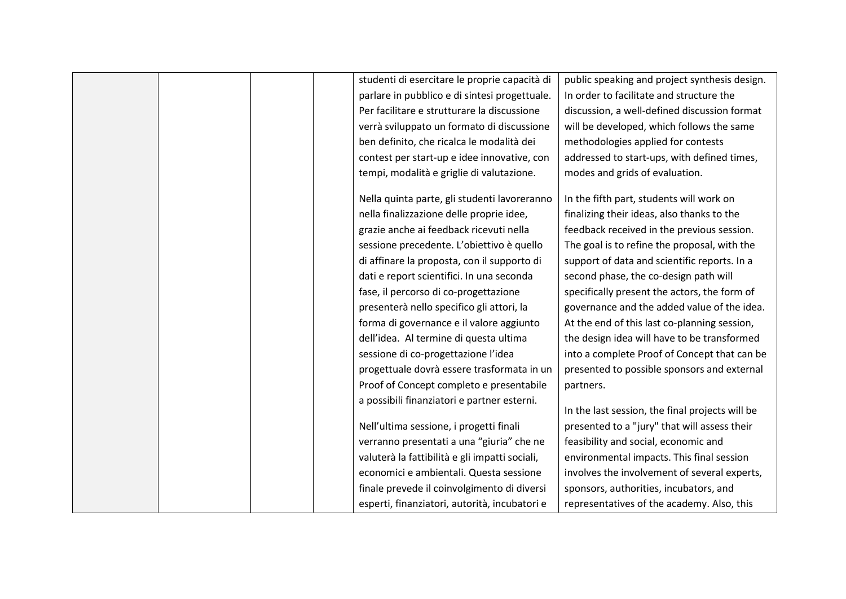|  | studenti di esercitare le proprie capacità di  | public speaking and project synthesis design.   |
|--|------------------------------------------------|-------------------------------------------------|
|  | parlare in pubblico e di sintesi progettuale.  | In order to facilitate and structure the        |
|  | Per facilitare e strutturare la discussione    | discussion, a well-defined discussion format    |
|  | verrà sviluppato un formato di discussione     | will be developed, which follows the same       |
|  | ben definito, che ricalca le modalità dei      | methodologies applied for contests              |
|  | contest per start-up e idee innovative, con    | addressed to start-ups, with defined times,     |
|  | tempi, modalità e griglie di valutazione.      | modes and grids of evaluation.                  |
|  | Nella quinta parte, gli studenti lavoreranno   | In the fifth part, students will work on        |
|  | nella finalizzazione delle proprie idee,       | finalizing their ideas, also thanks to the      |
|  | grazie anche ai feedback ricevuti nella        | feedback received in the previous session.      |
|  | sessione precedente. L'obiettivo è quello      | The goal is to refine the proposal, with the    |
|  | di affinare la proposta, con il supporto di    | support of data and scientific reports. In a    |
|  | dati e report scientifici. In una seconda      | second phase, the co-design path will           |
|  | fase, il percorso di co-progettazione          | specifically present the actors, the form of    |
|  | presenterà nello specifico gli attori, la      | governance and the added value of the idea.     |
|  | forma di governance e il valore aggiunto       | At the end of this last co-planning session,    |
|  | dell'idea. Al termine di questa ultima         | the design idea will have to be transformed     |
|  | sessione di co-progettazione l'idea            | into a complete Proof of Concept that can be    |
|  | progettuale dovrà essere trasformata in un     | presented to possible sponsors and external     |
|  | Proof of Concept completo e presentabile       | partners.                                       |
|  | a possibili finanziatori e partner esterni.    |                                                 |
|  |                                                | In the last session, the final projects will be |
|  | Nell'ultima sessione, i progetti finali        | presented to a "jury" that will assess their    |
|  | verranno presentati a una "giuria" che ne      | feasibility and social, economic and            |
|  | valuterà la fattibilità e gli impatti sociali, | environmental impacts. This final session       |
|  | economici e ambientali. Questa sessione        | involves the involvement of several experts,    |
|  | finale prevede il coinvolgimento di diversi    | sponsors, authorities, incubators, and          |
|  | esperti, finanziatori, autorità, incubatori e  | representatives of the academy. Also, this      |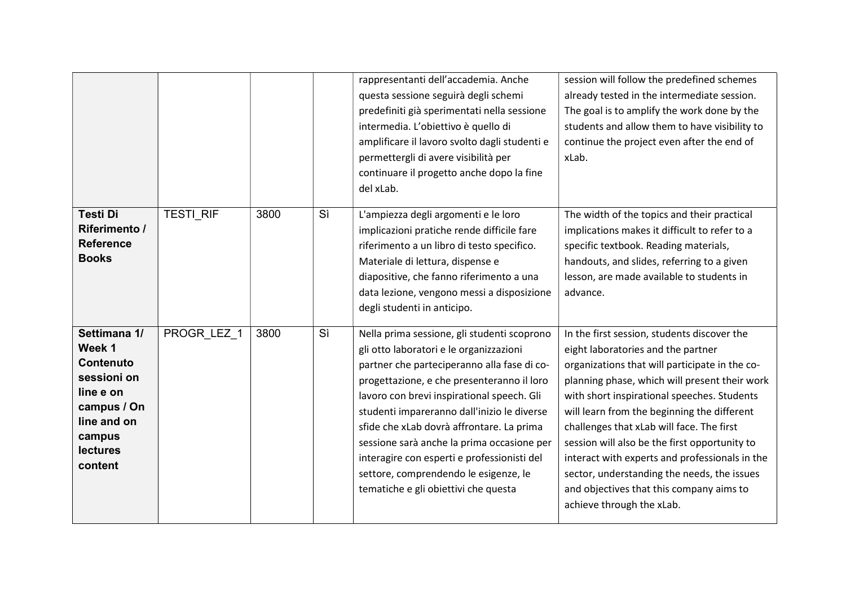|                                                                                                                                              |             |      |    | rappresentanti dell'accademia. Anche<br>questa sessione seguirà degli schemi<br>predefiniti già sperimentati nella sessione<br>intermedia. L'obiettivo è quello di<br>amplificare il lavoro svolto dagli studenti e<br>permettergli di avere visibilità per<br>continuare il progetto anche dopo la fine<br>del xLab.                                                                                                                                                                                       | session will follow the predefined schemes<br>already tested in the intermediate session.<br>The goal is to amplify the work done by the<br>students and allow them to have visibility to<br>continue the project even after the end of<br>xLab.                                                                                                                                                                                                                                                                                                           |
|----------------------------------------------------------------------------------------------------------------------------------------------|-------------|------|----|-------------------------------------------------------------------------------------------------------------------------------------------------------------------------------------------------------------------------------------------------------------------------------------------------------------------------------------------------------------------------------------------------------------------------------------------------------------------------------------------------------------|------------------------------------------------------------------------------------------------------------------------------------------------------------------------------------------------------------------------------------------------------------------------------------------------------------------------------------------------------------------------------------------------------------------------------------------------------------------------------------------------------------------------------------------------------------|
| <b>Testi Di</b><br>Riferimento /<br><b>Reference</b><br><b>Books</b>                                                                         | TESTI_RIF   | 3800 | Sì | L'ampiezza degli argomenti e le loro<br>implicazioni pratiche rende difficile fare<br>riferimento a un libro di testo specifico.<br>Materiale di lettura, dispense e<br>diapositive, che fanno riferimento a una<br>data lezione, vengono messi a disposizione<br>degli studenti in anticipo.                                                                                                                                                                                                               | The width of the topics and their practical<br>implications makes it difficult to refer to a<br>specific textbook. Reading materials,<br>handouts, and slides, referring to a given<br>lesson, are made available to students in<br>advance.                                                                                                                                                                                                                                                                                                               |
| Settimana 1/<br>Week 1<br><b>Contenuto</b><br>sessioni on<br>line e on<br>campus / On<br>line and on<br>campus<br><b>lectures</b><br>content | PROGR LEZ 1 | 3800 | Sì | Nella prima sessione, gli studenti scoprono<br>gli otto laboratori e le organizzazioni<br>partner che parteciperanno alla fase di co-<br>progettazione, e che presenteranno il loro<br>lavoro con brevi inspirational speech. Gli<br>studenti impareranno dall'inizio le diverse<br>sfide che xLab dovrà affrontare. La prima<br>sessione sarà anche la prima occasione per<br>interagire con esperti e professionisti del<br>settore, comprendendo le esigenze, le<br>tematiche e gli obiettivi che questa | In the first session, students discover the<br>eight laboratories and the partner<br>organizations that will participate in the co-<br>planning phase, which will present their work<br>with short inspirational speeches. Students<br>will learn from the beginning the different<br>challenges that xLab will face. The first<br>session will also be the first opportunity to<br>interact with experts and professionals in the<br>sector, understanding the needs, the issues<br>and objectives that this company aims to<br>achieve through the xLab. |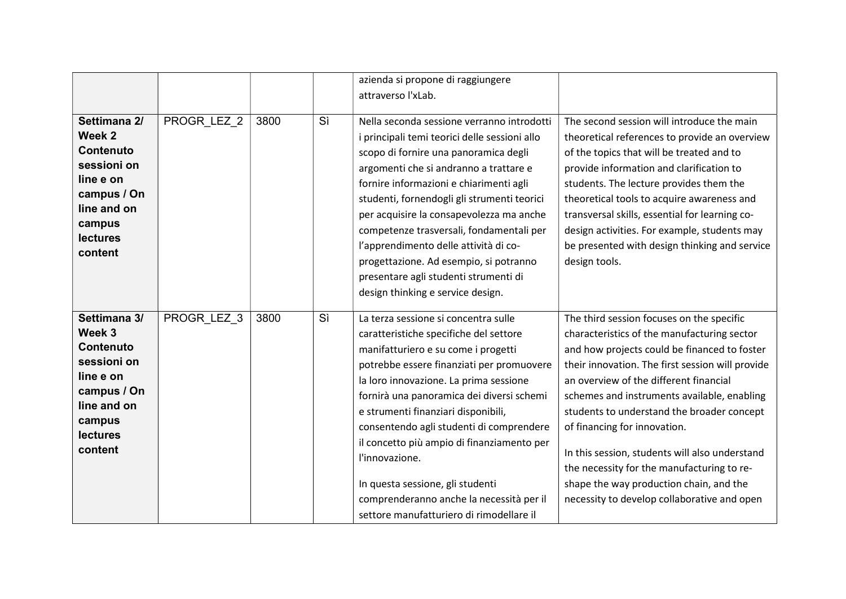|                                                                                                                                              |             |      |    | azienda si propone di raggiungere<br>attraverso l'xLab.                                                                                                                                                                                                                                                                                                                                                                                                                                                                                  |                                                                                                                                                                                                                                                                                                                                                                                                                                                                                                                                                               |
|----------------------------------------------------------------------------------------------------------------------------------------------|-------------|------|----|------------------------------------------------------------------------------------------------------------------------------------------------------------------------------------------------------------------------------------------------------------------------------------------------------------------------------------------------------------------------------------------------------------------------------------------------------------------------------------------------------------------------------------------|---------------------------------------------------------------------------------------------------------------------------------------------------------------------------------------------------------------------------------------------------------------------------------------------------------------------------------------------------------------------------------------------------------------------------------------------------------------------------------------------------------------------------------------------------------------|
| Settimana 2/<br>Week 2<br>Contenuto<br>sessioni on<br>line e on<br>campus / On<br>line and on<br>campus<br><b>lectures</b><br>content        | PROGR_LEZ_2 | 3800 | Sì | Nella seconda sessione verranno introdotti<br>i principali temi teorici delle sessioni allo<br>scopo di fornire una panoramica degli<br>argomenti che si andranno a trattare e<br>fornire informazioni e chiarimenti agli<br>studenti, fornendogli gli strumenti teorici<br>per acquisire la consapevolezza ma anche<br>competenze trasversali, fondamentali per<br>l'apprendimento delle attività di co-<br>progettazione. Ad esempio, si potranno<br>presentare agli studenti strumenti di<br>design thinking e service design.        | The second session will introduce the main<br>theoretical references to provide an overview<br>of the topics that will be treated and to<br>provide information and clarification to<br>students. The lecture provides them the<br>theoretical tools to acquire awareness and<br>transversal skills, essential for learning co-<br>design activities. For example, students may<br>be presented with design thinking and service<br>design tools.                                                                                                             |
| Settimana 3/<br>Week 3<br><b>Contenuto</b><br>sessioni on<br>line e on<br>campus / On<br>line and on<br>campus<br><b>lectures</b><br>content | PROGR LEZ 3 | 3800 | Sì | La terza sessione si concentra sulle<br>caratteristiche specifiche del settore<br>manifatturiero e su come i progetti<br>potrebbe essere finanziati per promuovere<br>la loro innovazione. La prima sessione<br>fornirà una panoramica dei diversi schemi<br>e strumenti finanziari disponibili,<br>consentendo agli studenti di comprendere<br>il concetto più ampio di finanziamento per<br>l'innovazione.<br>In questa sessione, gli studenti<br>comprenderanno anche la necessità per il<br>settore manufatturiero di rimodellare il | The third session focuses on the specific<br>characteristics of the manufacturing sector<br>and how projects could be financed to foster<br>their innovation. The first session will provide<br>an overview of the different financial<br>schemes and instruments available, enabling<br>students to understand the broader concept<br>of financing for innovation.<br>In this session, students will also understand<br>the necessity for the manufacturing to re-<br>shape the way production chain, and the<br>necessity to develop collaborative and open |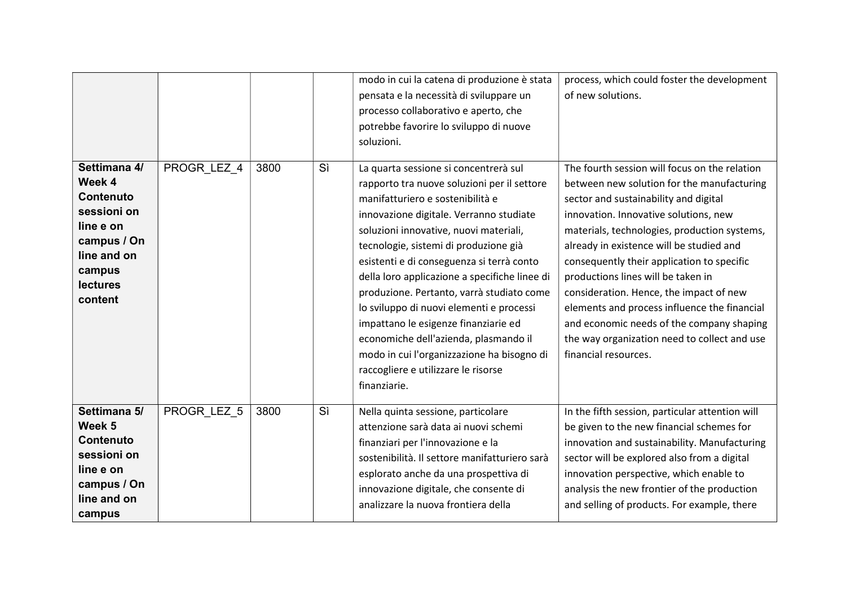|                                                                                                                                              |             |      |    | modo in cui la catena di produzione è stata<br>pensata e la necessità di sviluppare un<br>processo collaborativo e aperto, che<br>potrebbe favorire lo sviluppo di nuove<br>soluzioni.                                                                                                                                                                                                                                                                                                                                                                                                                                              | process, which could foster the development<br>of new solutions.                                                                                                                                                                                                                                                                                                                                                                                                                                                                                                              |
|----------------------------------------------------------------------------------------------------------------------------------------------|-------------|------|----|-------------------------------------------------------------------------------------------------------------------------------------------------------------------------------------------------------------------------------------------------------------------------------------------------------------------------------------------------------------------------------------------------------------------------------------------------------------------------------------------------------------------------------------------------------------------------------------------------------------------------------------|-------------------------------------------------------------------------------------------------------------------------------------------------------------------------------------------------------------------------------------------------------------------------------------------------------------------------------------------------------------------------------------------------------------------------------------------------------------------------------------------------------------------------------------------------------------------------------|
| Settimana 4/<br>Week 4<br><b>Contenuto</b><br>sessioni on<br>line e on<br>campus / On<br>line and on<br>campus<br><b>lectures</b><br>content | PROGR_LEZ_4 | 3800 | Sì | La quarta sessione si concentrerà sul<br>rapporto tra nuove soluzioni per il settore<br>manifatturiero e sostenibilità e<br>innovazione digitale. Verranno studiate<br>soluzioni innovative, nuovi materiali,<br>tecnologie, sistemi di produzione già<br>esistenti e di conseguenza si terrà conto<br>della loro applicazione a specifiche linee di<br>produzione. Pertanto, varrà studiato come<br>lo sviluppo di nuovi elementi e processi<br>impattano le esigenze finanziarie ed<br>economiche dell'azienda, plasmando il<br>modo in cui l'organizzazione ha bisogno di<br>raccogliere e utilizzare le risorse<br>finanziarie. | The fourth session will focus on the relation<br>between new solution for the manufacturing<br>sector and sustainability and digital<br>innovation. Innovative solutions, new<br>materials, technologies, production systems,<br>already in existence will be studied and<br>consequently their application to specific<br>productions lines will be taken in<br>consideration. Hence, the impact of new<br>elements and process influence the financial<br>and economic needs of the company shaping<br>the way organization need to collect and use<br>financial resources. |
| Settimana 5/<br>Week 5<br><b>Contenuto</b><br>sessioni on<br>line e on<br>campus / On<br>line and on<br>campus                               | PROGR LEZ 5 | 3800 | Sì | Nella quinta sessione, particolare<br>attenzione sarà data ai nuovi schemi<br>finanziari per l'innovazione e la<br>sostenibilità. Il settore manifatturiero sarà<br>esplorato anche da una prospettiva di<br>innovazione digitale, che consente di<br>analizzare la nuova frontiera della                                                                                                                                                                                                                                                                                                                                           | In the fifth session, particular attention will<br>be given to the new financial schemes for<br>innovation and sustainability. Manufacturing<br>sector will be explored also from a digital<br>innovation perspective, which enable to<br>analysis the new frontier of the production<br>and selling of products. For example, there                                                                                                                                                                                                                                          |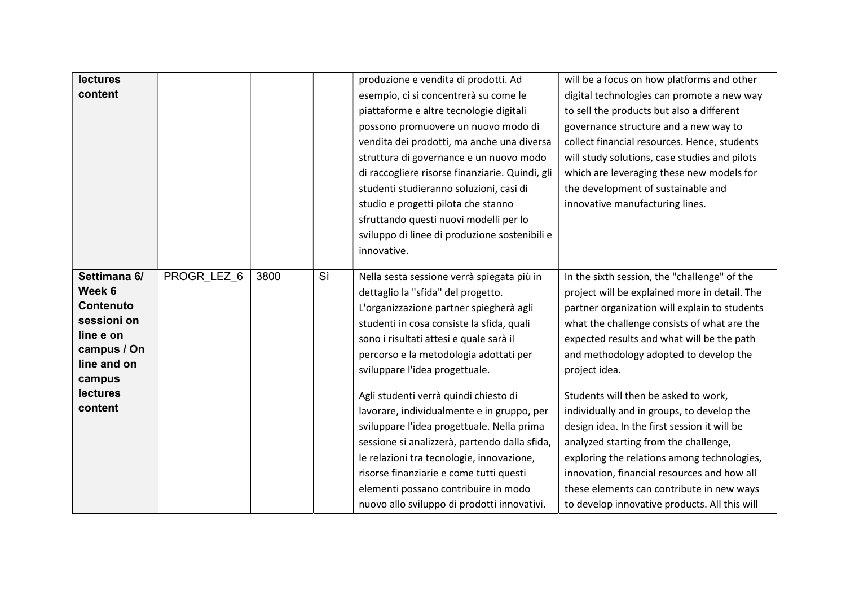| lectures                   |             |      |    | produzione e vendita di prodotti. Ad            | will be a focus on how platforms and other    |
|----------------------------|-------------|------|----|-------------------------------------------------|-----------------------------------------------|
| content                    |             |      |    | esempio, ci si concentrerà su come le           | digital technologies can promote a new way    |
|                            |             |      |    | piattaforme e altre tecnologie digitali         | to sell the products but also a different     |
|                            |             |      |    | possono promuovere un nuovo modo di             | governance structure and a new way to         |
|                            |             |      |    | vendita dei prodotti, ma anche una diversa      | collect financial resources. Hence, students  |
|                            |             |      |    | struttura di governance e un nuovo modo         | will study solutions, case studies and pilots |
|                            |             |      |    | di raccogliere risorse finanziarie. Quindi, gli | which are leveraging these new models for     |
|                            |             |      |    | studenti studieranno soluzioni, casi di         | the development of sustainable and            |
|                            |             |      |    | studio e progetti pilota che stanno             | innovative manufacturing lines.               |
|                            |             |      |    | sfruttando questi nuovi modelli per lo          |                                               |
|                            |             |      |    | sviluppo di linee di produzione sostenibili e   |                                               |
|                            |             |      |    | innovative.                                     |                                               |
|                            |             |      |    |                                                 |                                               |
| Settimana 6/               | PROGR_LEZ_6 | 3800 | Sì | Nella sesta sessione verrà spiegata più in      | In the sixth session, the "challenge" of the  |
| Week 6                     |             |      |    | dettaglio la "sfida" del progetto.              | project will be explained more in detail. The |
| <b>Contenuto</b>           |             |      |    | L'organizzazione partner spiegherà agli         | partner organization will explain to students |
| sessioni on                |             |      |    | studenti in cosa consiste la sfida, quali       | what the challenge consists of what are the   |
| line e on                  |             |      |    | sono i risultati attesi e quale sarà il         | expected results and what will be the path    |
| campus / On<br>line and on |             |      |    | percorso e la metodologia adottati per          | and methodology adopted to develop the        |
| campus                     |             |      |    | sviluppare l'idea progettuale.                  | project idea.                                 |
| <b>lectures</b>            |             |      |    | Agli studenti verrà quindi chiesto di           | Students will then be asked to work,          |
| content                    |             |      |    | lavorare, individualmente e in gruppo, per      |                                               |
|                            |             |      |    |                                                 | individually and in groups, to develop the    |
|                            |             |      |    | sviluppare l'idea progettuale. Nella prima      | design idea. In the first session it will be  |
|                            |             |      |    | sessione si analizzerà, partendo dalla sfida,   | analyzed starting from the challenge,         |
|                            |             |      |    | le relazioni tra tecnologie, innovazione,       | exploring the relations among technologies,   |
|                            |             |      |    | risorse finanziarie e come tutti questi         | innovation, financial resources and how all   |
|                            |             |      |    | elementi possano contribuire in modo            | these elements can contribute in new ways     |
|                            |             |      |    | nuovo allo sviluppo di prodotti innovativi.     | to develop innovative products. All this will |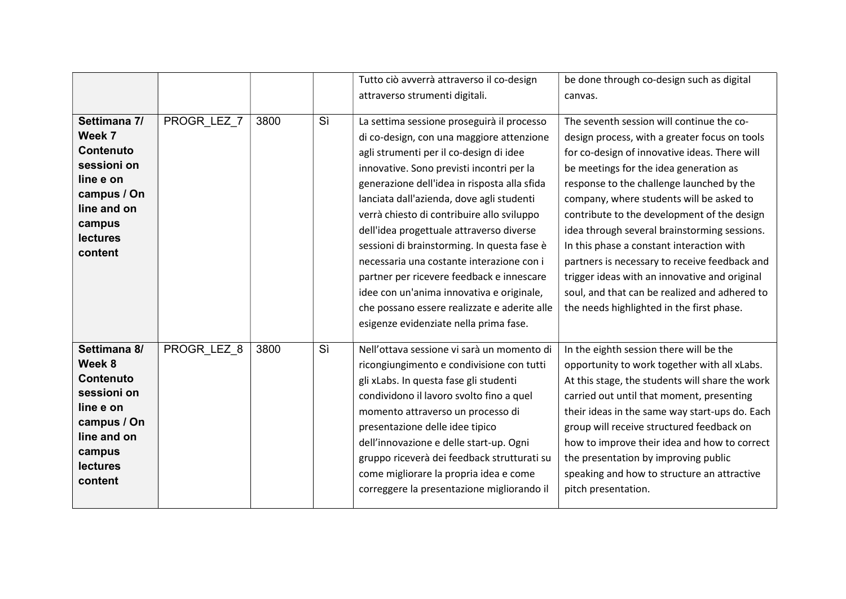|                                                                                                                                              |             |      |    | Tutto ciò avverrà attraverso il co-design                                                                                                                                                                                                                                                                                                                                                                                                                                                                                                                                                                                                              | be done through co-design such as digital                                                                                                                                                                                                                                                                                                                                                                                                                                                                                                                                                                                  |
|----------------------------------------------------------------------------------------------------------------------------------------------|-------------|------|----|--------------------------------------------------------------------------------------------------------------------------------------------------------------------------------------------------------------------------------------------------------------------------------------------------------------------------------------------------------------------------------------------------------------------------------------------------------------------------------------------------------------------------------------------------------------------------------------------------------------------------------------------------------|----------------------------------------------------------------------------------------------------------------------------------------------------------------------------------------------------------------------------------------------------------------------------------------------------------------------------------------------------------------------------------------------------------------------------------------------------------------------------------------------------------------------------------------------------------------------------------------------------------------------------|
|                                                                                                                                              |             |      |    | attraverso strumenti digitali.                                                                                                                                                                                                                                                                                                                                                                                                                                                                                                                                                                                                                         | canvas.                                                                                                                                                                                                                                                                                                                                                                                                                                                                                                                                                                                                                    |
| Settimana 7/<br>Week 7<br><b>Contenuto</b><br>sessioni on<br>line e on<br>campus / On<br>line and on<br>campus<br><b>lectures</b><br>content | PROGR LEZ 7 | 3800 | Sì | La settima sessione proseguirà il processo<br>di co-design, con una maggiore attenzione<br>agli strumenti per il co-design di idee<br>innovative. Sono previsti incontri per la<br>generazione dell'idea in risposta alla sfida<br>lanciata dall'azienda, dove agli studenti<br>verrà chiesto di contribuire allo sviluppo<br>dell'idea progettuale attraverso diverse<br>sessioni di brainstorming. In questa fase è<br>necessaria una costante interazione con i<br>partner per ricevere feedback e innescare<br>idee con un'anima innovativa e originale,<br>che possano essere realizzate e aderite alle<br>esigenze evidenziate nella prima fase. | The seventh session will continue the co-<br>design process, with a greater focus on tools<br>for co-design of innovative ideas. There will<br>be meetings for the idea generation as<br>response to the challenge launched by the<br>company, where students will be asked to<br>contribute to the development of the design<br>idea through several brainstorming sessions.<br>In this phase a constant interaction with<br>partners is necessary to receive feedback and<br>trigger ideas with an innovative and original<br>soul, and that can be realized and adhered to<br>the needs highlighted in the first phase. |
| Settimana 8/<br>Week 8<br><b>Contenuto</b><br>sessioni on<br>line e on<br>campus / On<br>line and on<br>campus<br><b>lectures</b><br>content | PROGR LEZ 8 | 3800 | Sì | Nell'ottava sessione vi sarà un momento di<br>ricongiungimento e condivisione con tutti<br>gli xLabs. In questa fase gli studenti<br>condividono il lavoro svolto fino a quel<br>momento attraverso un processo di<br>presentazione delle idee tipico<br>dell'innovazione e delle start-up. Ogni<br>gruppo riceverà dei feedback strutturati su<br>come migliorare la propria idea e come<br>correggere la presentazione migliorando il                                                                                                                                                                                                                | In the eighth session there will be the<br>opportunity to work together with all xLabs.<br>At this stage, the students will share the work<br>carried out until that moment, presenting<br>their ideas in the same way start-ups do. Each<br>group will receive structured feedback on<br>how to improve their idea and how to correct<br>the presentation by improving public<br>speaking and how to structure an attractive<br>pitch presentation.                                                                                                                                                                       |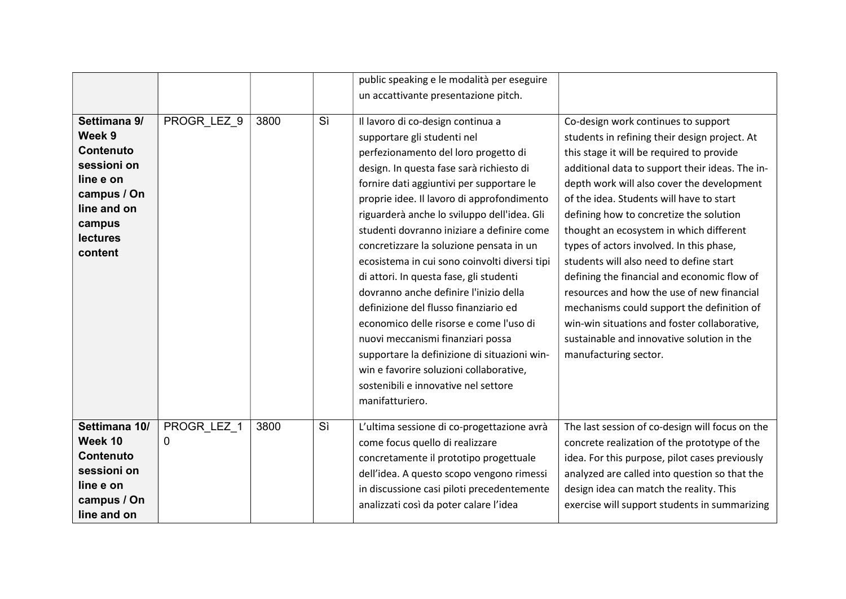|                                                                                                                                              |                  |      |    | public speaking e le modalità per eseguire                                                                                                                                                                                                                                                                                                                                                                                                                                                                                                                                                                                                                                                                                                                                                                    |                                                                                                                                                                                                                                                                                                                                                                                                                                                                                                                                                                                                                                                                                                                               |
|----------------------------------------------------------------------------------------------------------------------------------------------|------------------|------|----|---------------------------------------------------------------------------------------------------------------------------------------------------------------------------------------------------------------------------------------------------------------------------------------------------------------------------------------------------------------------------------------------------------------------------------------------------------------------------------------------------------------------------------------------------------------------------------------------------------------------------------------------------------------------------------------------------------------------------------------------------------------------------------------------------------------|-------------------------------------------------------------------------------------------------------------------------------------------------------------------------------------------------------------------------------------------------------------------------------------------------------------------------------------------------------------------------------------------------------------------------------------------------------------------------------------------------------------------------------------------------------------------------------------------------------------------------------------------------------------------------------------------------------------------------------|
|                                                                                                                                              |                  |      |    | un accattivante presentazione pitch.                                                                                                                                                                                                                                                                                                                                                                                                                                                                                                                                                                                                                                                                                                                                                                          |                                                                                                                                                                                                                                                                                                                                                                                                                                                                                                                                                                                                                                                                                                                               |
| Settimana 9/<br>Week 9<br><b>Contenuto</b><br>sessioni on<br>line e on<br>campus / On<br>line and on<br>campus<br><b>lectures</b><br>content | PROGR_LEZ_9      | 3800 | Sì | Il lavoro di co-design continua a<br>supportare gli studenti nel<br>perfezionamento del loro progetto di<br>design. In questa fase sarà richiesto di<br>fornire dati aggiuntivi per supportare le<br>proprie idee. Il lavoro di approfondimento<br>riguarderà anche lo sviluppo dell'idea. Gli<br>studenti dovranno iniziare a definire come<br>concretizzare la soluzione pensata in un<br>ecosistema in cui sono coinvolti diversi tipi<br>di attori. In questa fase, gli studenti<br>dovranno anche definire l'inizio della<br>definizione del flusso finanziario ed<br>economico delle risorse e come l'uso di<br>nuovi meccanismi finanziari possa<br>supportare la definizione di situazioni win-<br>win e favorire soluzioni collaborative,<br>sostenibili e innovative nel settore<br>manifatturiero. | Co-design work continues to support<br>students in refining their design project. At<br>this stage it will be required to provide<br>additional data to support their ideas. The in-<br>depth work will also cover the development<br>of the idea. Students will have to start<br>defining how to concretize the solution<br>thought an ecosystem in which different<br>types of actors involved. In this phase,<br>students will also need to define start<br>defining the financial and economic flow of<br>resources and how the use of new financial<br>mechanisms could support the definition of<br>win-win situations and foster collaborative,<br>sustainable and innovative solution in the<br>manufacturing sector. |
| Settimana 10/<br>Week 10<br><b>Contenuto</b><br>sessioni on                                                                                  | PROGR_LEZ_1<br>0 | 3800 | Sì | L'ultima sessione di co-progettazione avrà<br>come focus quello di realizzare<br>concretamente il prototipo progettuale<br>dell'idea. A questo scopo vengono rimessi                                                                                                                                                                                                                                                                                                                                                                                                                                                                                                                                                                                                                                          | The last session of co-design will focus on the<br>concrete realization of the prototype of the<br>idea. For this purpose, pilot cases previously<br>analyzed are called into question so that the                                                                                                                                                                                                                                                                                                                                                                                                                                                                                                                            |
| line e on<br>campus / On<br>line and on                                                                                                      |                  |      |    | in discussione casi piloti precedentemente<br>analizzati così da poter calare l'idea                                                                                                                                                                                                                                                                                                                                                                                                                                                                                                                                                                                                                                                                                                                          | design idea can match the reality. This<br>exercise will support students in summarizing                                                                                                                                                                                                                                                                                                                                                                                                                                                                                                                                                                                                                                      |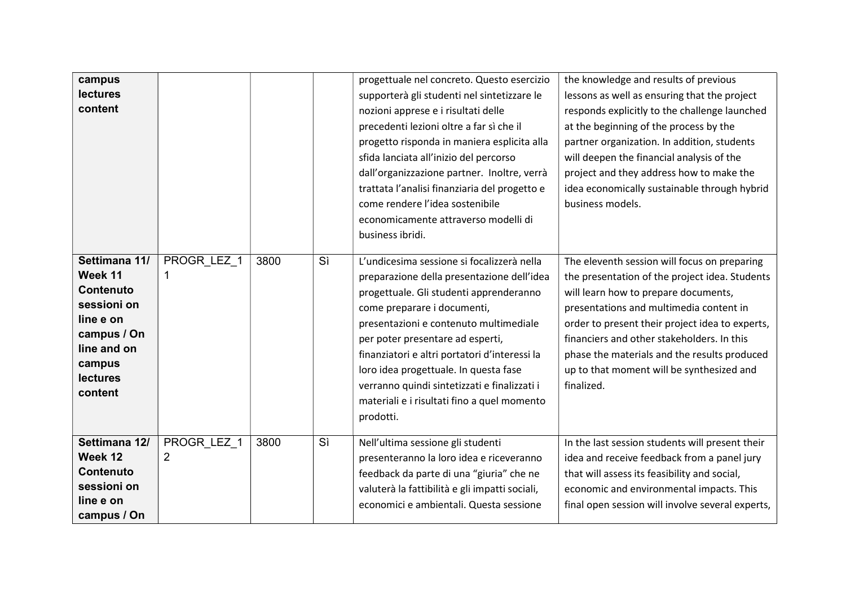| campus<br>lectures<br>content                                                                                                                  |                               |      |    | progettuale nel concreto. Questo esercizio<br>supporterà gli studenti nel sintetizzare le<br>nozioni apprese e i risultati delle<br>precedenti lezioni oltre a far sì che il<br>progetto risponda in maniera esplicita alla<br>sfida lanciata all'inizio del percorso<br>dall'organizzazione partner. Inoltre, verrà<br>trattata l'analisi finanziaria del progetto e<br>come rendere l'idea sostenibile<br>economicamente attraverso modelli di<br>business ibridi. | the knowledge and results of previous<br>lessons as well as ensuring that the project<br>responds explicitly to the challenge launched<br>at the beginning of the process by the<br>partner organization. In addition, students<br>will deepen the financial analysis of the<br>project and they address how to make the<br>idea economically sustainable through hybrid<br>business models.  |
|------------------------------------------------------------------------------------------------------------------------------------------------|-------------------------------|------|----|----------------------------------------------------------------------------------------------------------------------------------------------------------------------------------------------------------------------------------------------------------------------------------------------------------------------------------------------------------------------------------------------------------------------------------------------------------------------|-----------------------------------------------------------------------------------------------------------------------------------------------------------------------------------------------------------------------------------------------------------------------------------------------------------------------------------------------------------------------------------------------|
| Settimana 11/<br>Week 11<br><b>Contenuto</b><br>sessioni on<br>line e on<br>campus / On<br>line and on<br>campus<br><b>lectures</b><br>content | PROGR LEZ 1                   | 3800 | Sì | L'undicesima sessione si focalizzerà nella<br>preparazione della presentazione dell'idea<br>progettuale. Gli studenti apprenderanno<br>come preparare i documenti,<br>presentazioni e contenuto multimediale<br>per poter presentare ad esperti,<br>finanziatori e altri portatori d'interessi la<br>loro idea progettuale. In questa fase<br>verranno quindi sintetizzati e finalizzati i<br>materiali e i risultati fino a quel momento<br>prodotti.               | The eleventh session will focus on preparing<br>the presentation of the project idea. Students<br>will learn how to prepare documents,<br>presentations and multimedia content in<br>order to present their project idea to experts,<br>financiers and other stakeholders. In this<br>phase the materials and the results produced<br>up to that moment will be synthesized and<br>finalized. |
| Settimana 12/<br>Week 12<br><b>Contenuto</b><br>sessioni on<br>line e on<br>campus / On                                                        | PROGR_LEZ_1<br>$\overline{2}$ | 3800 | Sì | Nell'ultima sessione gli studenti<br>presenteranno la loro idea e riceveranno<br>feedback da parte di una "giuria" che ne<br>valuterà la fattibilità e gli impatti sociali,<br>economici e ambientali. Questa sessione                                                                                                                                                                                                                                               | In the last session students will present their<br>idea and receive feedback from a panel jury<br>that will assess its feasibility and social,<br>economic and environmental impacts. This<br>final open session will involve several experts,                                                                                                                                                |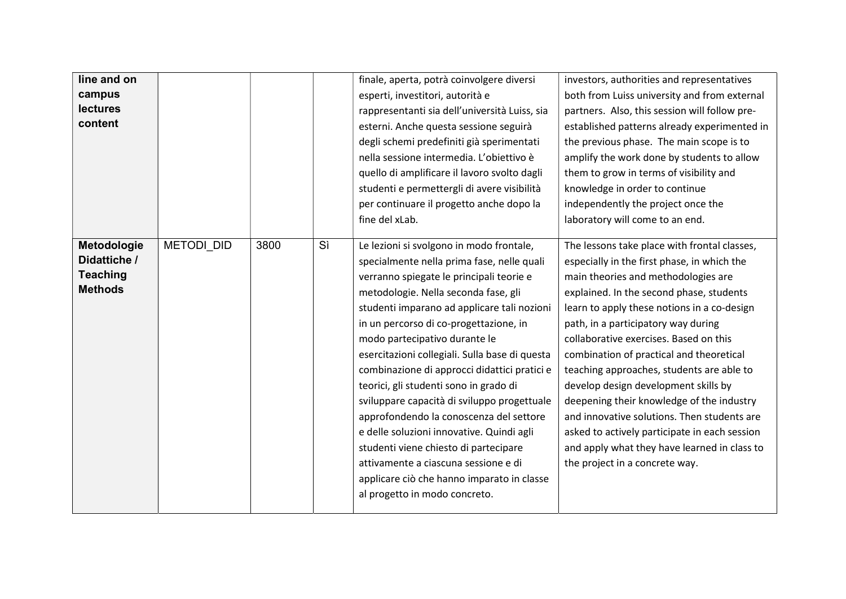| line and on     |                   |      |    | finale, aperta, potrà coinvolgere diversi      | investors, authorities and representatives    |
|-----------------|-------------------|------|----|------------------------------------------------|-----------------------------------------------|
| campus          |                   |      |    | esperti, investitori, autorità e               | both from Luiss university and from external  |
| <b>lectures</b> |                   |      |    | rappresentanti sia dell'università Luiss, sia  | partners. Also, this session will follow pre- |
| content         |                   |      |    | esterni. Anche questa sessione seguirà         | established patterns already experimented in  |
|                 |                   |      |    | degli schemi predefiniti già sperimentati      | the previous phase. The main scope is to      |
|                 |                   |      |    | nella sessione intermedia. L'obiettivo è       | amplify the work done by students to allow    |
|                 |                   |      |    | quello di amplificare il lavoro svolto dagli   | them to grow in terms of visibility and       |
|                 |                   |      |    | studenti e permettergli di avere visibilità    | knowledge in order to continue                |
|                 |                   |      |    | per continuare il progetto anche dopo la       | independently the project once the            |
|                 |                   |      |    | fine del xLab.                                 | laboratory will come to an end.               |
|                 |                   |      |    |                                                |                                               |
| Metodologie     | <b>METODI DID</b> | 3800 | Sì | Le lezioni si svolgono in modo frontale,       | The lessons take place with frontal classes,  |
| Didattiche /    |                   |      |    | specialmente nella prima fase, nelle quali     | especially in the first phase, in which the   |
| <b>Teaching</b> |                   |      |    | verranno spiegate le principali teorie e       | main theories and methodologies are           |
| <b>Methods</b>  |                   |      |    | metodologie. Nella seconda fase, gli           | explained. In the second phase, students      |
|                 |                   |      |    | studenti imparano ad applicare tali nozioni    | learn to apply these notions in a co-design   |
|                 |                   |      |    | in un percorso di co-progettazione, in         | path, in a participatory way during           |
|                 |                   |      |    | modo partecipativo durante le                  | collaborative exercises. Based on this        |
|                 |                   |      |    | esercitazioni collegiali. Sulla base di questa | combination of practical and theoretical      |
|                 |                   |      |    | combinazione di approcci didattici pratici e   | teaching approaches, students are able to     |
|                 |                   |      |    | teorici, gli studenti sono in grado di         | develop design development skills by          |
|                 |                   |      |    | sviluppare capacità di sviluppo progettuale    | deepening their knowledge of the industry     |
|                 |                   |      |    | approfondendo la conoscenza del settore        | and innovative solutions. Then students are   |
|                 |                   |      |    | e delle soluzioni innovative. Quindi agli      | asked to actively participate in each session |
|                 |                   |      |    | studenti viene chiesto di partecipare          | and apply what they have learned in class to  |
|                 |                   |      |    | attivamente a ciascuna sessione e di           | the project in a concrete way.                |
|                 |                   |      |    | applicare ciò che hanno imparato in classe     |                                               |
|                 |                   |      |    | al progetto in modo concreto.                  |                                               |
|                 |                   |      |    |                                                |                                               |